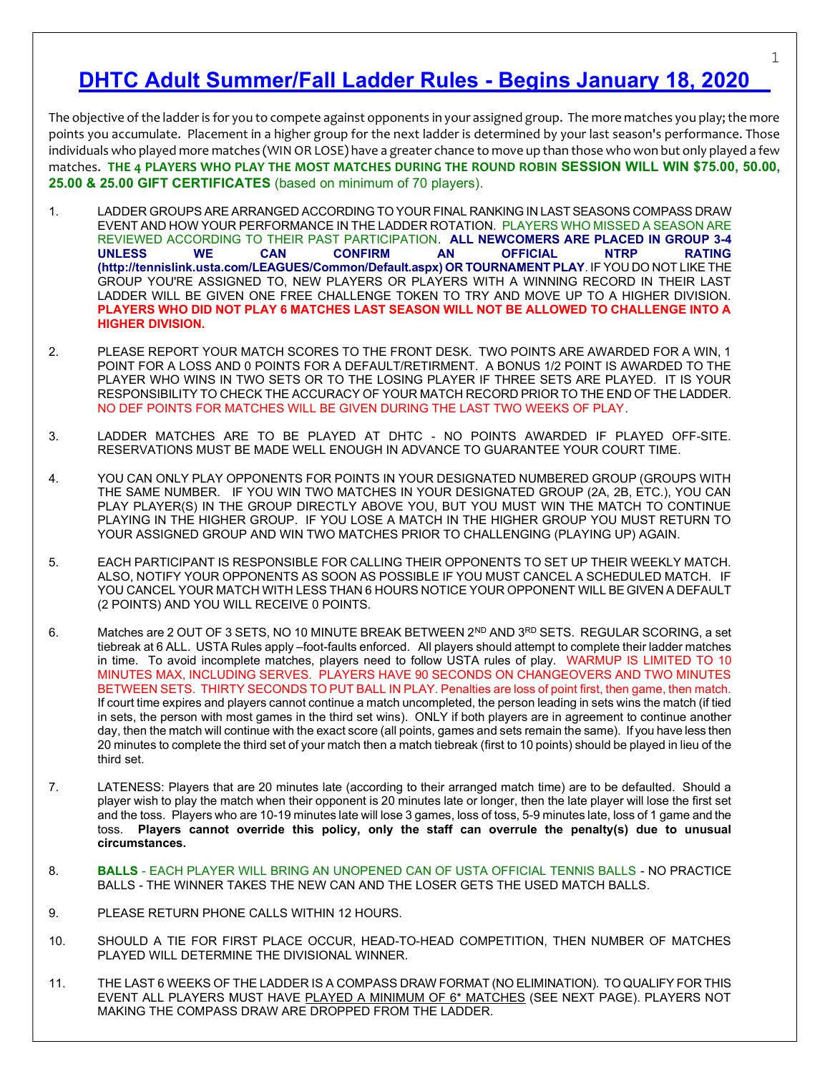# DHTC Adult Summer/Fall Ladder Rules - Begins January 18, 2020

The objective of the ladder is for you to compete against opponents in your assigned group. The more matches you play; the more points you accumulate. Placement in a higher group for the next ladder is determined by your last season's performance. Those individuals who played more matches (WIN OR LOSE) have a greater chance to move up than those who won but only played a few matches. THE 4 PLAYERS WHO PLAY THE MOST MATCHES DURING THE ROUND ROBIN SESSION WILL WIN \$75.00, 50.00, 25.00 & 25.00 GIFT CERTIFICATES (based on minimum of 70 players).

- 1. LADDER GROUPS ARE ARRANGED ACCORDING TO YOUR FINAL RANKING IN LAST SEASONS COMPASS DRAW EVENT AND HOW YOUR PERFORMANCE IN THE LADDER ROTATION. PLAYERS WHO MISSED A SEASON ARE REVIEWED ACCORDING TO THEIR PAST PARTICIPATION. ALL NEWCOMERS ARE PLACED IN GROUP 3-4 UNLESS WE CAN CONFIRM AN OFFICIAL NTRP RATING (http://tennislink.usta.com/LEAGUES/Common/Default.aspx) OR TOURNAMENT PLAY. IF YOU DO NOT LIKE THE GROUP YOU'RE ASSIGNED TO, NEW PLAYERS OR PLAYERS WITH A WINNING RECORD IN THEIR LAST LADDER WILL BE GIVEN ONE FREE CHALLENGE TOKEN TO TRY AND MOVE UP TO A HIGHER DIVISION. PLAYERS WHO DID NOT PLAY 6 MATCHES LAST SEASON WILL NOT BE ALLOWED TO CHALLENGE INTO A HIGHER DIVISION.
- 2. PLEASE REPORT YOUR MATCH SCORES TO THE FRONT DESK. TWO POINTS ARE AWARDED FOR A WIN, 1 POINT FOR A LOSS AND 0 POINTS FOR A DEFAULT/RETIRMENT. A BONUS 1/2 POINT IS AWARDED TO THE PLAYER WHO WINS IN TWO SETS OR TO THE LOSING PLAYER IF THREE SETS ARE PLAYED. IT IS YOUR RESPONSIBILITY TO CHECK THE ACCURACY OF YOUR MATCH RECORD PRIOR TO THE END OF THE LADDER. NO DEF POINTS FOR MATCHES WILL BE GIVEN DURING THE LAST TWO WEEKS OF PLAY.
- 3. LADDER MATCHES ARE TO BE PLAYED AT DHTC NO POINTS AWARDED IF PLAYED OFF-SITE. RESERVATIONS MUST BE MADE WELL ENOUGH IN ADVANCE TO GUARANTEE YOUR COURT TIME.
- 4. YOU CAN ONLY PLAY OPPONENTS FOR POINTS IN YOUR DESIGNATED NUMBERED GROUP (GROUPS WITH THE SAME NUMBER. IF YOU WIN TWO MATCHES IN YOUR DESIGNATED GROUP (2A, 2B, ETC.), YOU CAN PLAY PLAYER(S) IN THE GROUP DIRECTLY ABOVE YOU, BUT YOU MUST WIN THE MATCH TO CONTINUE PLAYING IN THE HIGHER GROUP. IF YOU LOSE A MATCH IN THE HIGHER GROUP YOU MUST RETURN TO YOUR ASSIGNED GROUP AND WIN TWO MATCHES PRIOR TO CHALLENGING (PLAYING UP) AGAIN.
- 5. EACH PARTICIPANT IS RESPONSIBLE FOR CALLING THEIR OPPONENTS TO SET UP THEIR WEEKLY MATCH. ALSO, NOTIFY YOUR OPPONENTS AS SOON AS POSSIBLE IF YOU MUST CANCEL A SCHEDULED MATCH. IF YOU CANCEL YOUR MATCH WITH LESS THAN 6 HOURS NOTICE YOUR OPPONENT WILL BE GIVEN A DEFAULT (2 POINTS) AND YOU WILL RECEIVE 0 POINTS.
- 6. Matches are 2 OUT OF 3 SETS, NO 10 MINUTE BREAK BETWEEN 2<sup>ND</sup> AND 3<sup>RD</sup> SETS. REGULAR SCORING, a set tiebreak at 6 ALL. USTA Rules apply –foot-faults enforced. All players should attempt to complete their ladder matches in time. To avoid incomplete matches, players need to follow USTA rules of play. WARMUP IS LIMITED TO 10 MINUTES MAX, INCLUDING SERVES. PLAYERS HAVE 90 SECONDS ON CHANGEOVERS AND TWO MINUTES BETWEEN SETS. THIRTY SECONDS TO PUT BALL IN PLAY. Penalties are loss of point first, then game, then match. If court time expires and players cannot continue a match uncompleted, the person leading in sets wins the match (if tied in sets, the person with most games in the third set wins). ONLY if both players are in agreement to continue another day, then the match will continue with the exact score (all points, games and sets remain the same). If you have less then 20 minutes to complete the third set of your match then a match tiebreak (first to 10 points) should be played in lieu of the third set.
- 7. LATENESS: Players that are 20 minutes late (according to their arranged match time) are to be defaulted. Should a player wish to play the match when their opponent is 20 minutes late or longer, then the late player will lose the first set and the toss. Players who are 10-19 minutes late will lose 3 games, loss of toss, 5-9 minutes late, loss of 1 game and the toss. Players cannot override this policy, only the staff can overrule the penalty(s) due to unusual circumstances.
- 8. BALLS EACH PLAYER WILL BRING AN UNOPENED CAN OF USTA OFFICIAL TENNIS BALLS NO PRACTICE BALLS - THE WINNER TAKES THE NEW CAN AND THE LOSER GETS THE USED MATCH BALLS.
- 9. PLEASE RETURN PHONE CALLS WITHIN 12 HOURS.
- 10. SHOULD A TIE FOR FIRST PLACE OCCUR, HEAD-TO-HEAD COMPETITION, THEN NUMBER OF MATCHES PLAYED WILL DETERMINE THE DIVISIONAL WINNER.
- 11. THE LAST 6 WEEKS OF THE LADDER IS A COMPASS DRAW FORMAT (NO ELIMINATION). TO QUALIFY FOR THIS EVENT ALL PLAYERS MUST HAVE PLAYED A MINIMUM OF 6\* MATCHES (SEE NEXT PAGE). PLAYERS NOT MAKING THE COMPASS DRAW ARE DROPPED FROM THE LADDER.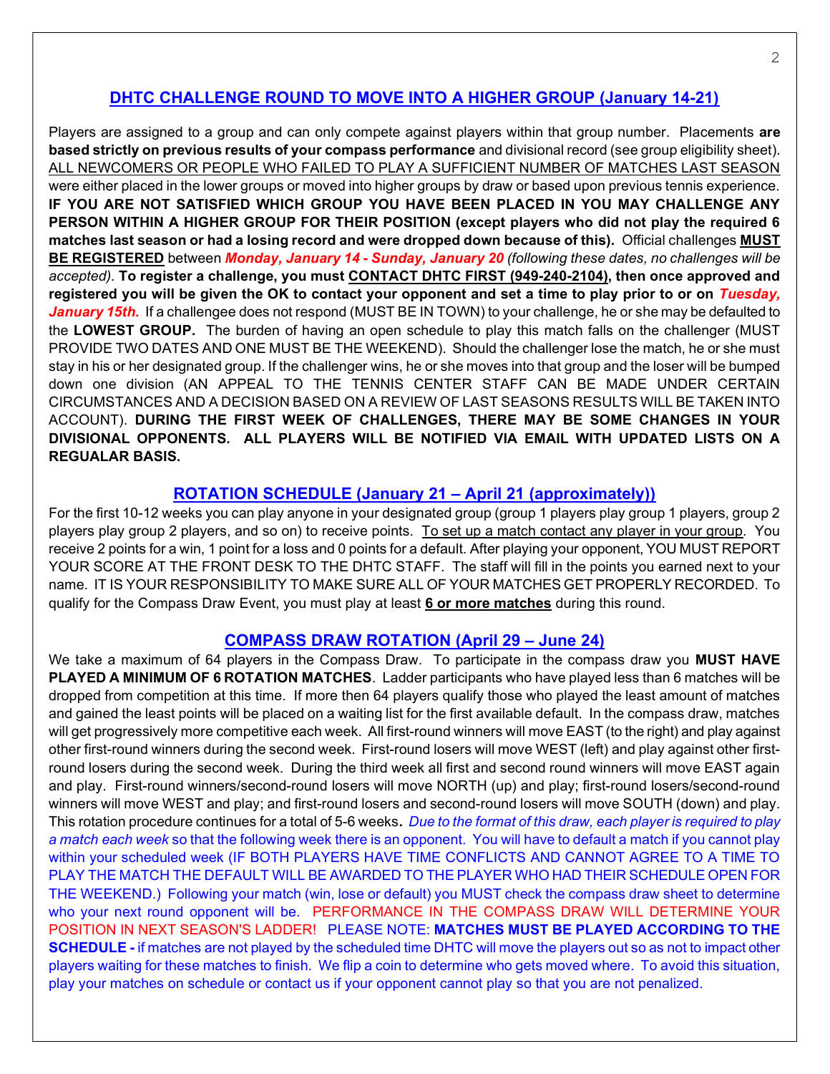## DHTC CHALLENGE ROUND TO MOVE INTO A HIGHER GROUP (January 14-21)

Players are assigned to a group and can only compete against players within that group number. Placements are based strictly on previous results of your compass performance and divisional record (see group eligibility sheet). ALL NEWCOMERS OR PEOPLE WHO FAILED TO PLAY A SUFFICIENT NUMBER OF MATCHES LAST SEASON were either placed in the lower groups or moved into higher groups by draw or based upon previous tennis experience. IF YOU ARE NOT SATISFIED WHICH GROUP YOU HAVE BEEN PLACED IN YOU MAY CHALLENGE ANY PERSON WITHIN A HIGHER GROUP FOR THEIR POSITION (except players who did not play the required 6 matches last season or had a losing record and were dropped down because of this). Official challenges MUST BE REGISTERED between Monday, January 14 - Sunday, January 20 (following these dates, no challenges will be accepted). To register a challenge, you must CONTACT DHTC FIRST (949-240-2104), then once approved and registered you will be given the OK to contact your opponent and set a time to play prior to or on Tuesday, January 15th. If a challengee does not respond (MUST BE IN TOWN) to your challenge, he or she may be defaulted to the LOWEST GROUP. The burden of having an open schedule to play this match falls on the challenger (MUST PROVIDE TWO DATES AND ONE MUST BE THE WEEKEND). Should the challenger lose the match, he or she must stay in his or her designated group. If the challenger wins, he or she moves into that group and the loser will be bumped down one division (AN APPEAL TO THE TENNIS CENTER STAFF CAN BE MADE UNDER CERTAIN CIRCUMSTANCES AND A DECISION BASED ON A REVIEW OF LAST SEASONS RESULTS WILL BE TAKEN INTO ACCOUNT). DURING THE FIRST WEEK OF CHALLENGES, THERE MAY BE SOME CHANGES IN YOUR DIVISIONAL OPPONENTS. ALL PLAYERS WILL BE NOTIFIED VIA EMAIL WITH UPDATED LISTS ON A REGUALAR BASIS.

### ROTATION SCHEDULE (January 21 – April 21 (approximately))

For the first 10-12 weeks you can play anyone in your designated group (group 1 players play group 1 players, group 2 players play group 2 players, and so on) to receive points. To set up a match contact any player in your group. You receive 2 points for a win, 1 point for a loss and 0 points for a default. After playing your opponent, YOU MUST REPORT YOUR SCORE AT THE FRONT DESK TO THE DHTC STAFF. The staff will fill in the points you earned next to your name. IT IS YOUR RESPONSIBILITY TO MAKE SURE ALL OF YOUR MATCHES GET PROPERLY RECORDED. To qualify for the Compass Draw Event, you must play at least 6 or more matches during this round.

#### COMPASS DRAW ROTATION (April 29 – June 24)

We take a maximum of 64 players in the Compass Draw. To participate in the compass draw you MUST HAVE PLAYED A MINIMUM OF 6 ROTATION MATCHES. Ladder participants who have played less than 6 matches will be dropped from competition at this time. If more then 64 players qualify those who played the least amount of matches and gained the least points will be placed on a waiting list for the first available default. In the compass draw, matches will get progressively more competitive each week. All first-round winners will move EAST (to the right) and play against other first-round winners during the second week. First-round losers will move WEST (left) and play against other firstround losers during the second week. During the third week all first and second round winners will move EAST again and play. First-round winners/second-round losers will move NORTH (up) and play; first-round losers/second-round winners will move WEST and play; and first-round losers and second-round losers will move SOUTH (down) and play. This rotation procedure continues for a total of 5-6 weeks. Due to the format of this draw, each player is required to play a match each week so that the following week there is an opponent. You will have to default a match if you cannot play within your scheduled week (IF BOTH PLAYERS HAVE TIME CONFLICTS AND CANNOT AGREE TO A TIME TO PLAY THE MATCH THE DEFAULT WILL BE AWARDED TO THE PLAYER WHO HAD THEIR SCHEDULE OPEN FOR THE WEEKEND.) Following your match (win, lose or default) you MUST check the compass draw sheet to determine who your next round opponent will be. PERFORMANCE IN THE COMPASS DRAW WILL DETERMINE YOUR POSITION IN NEXT SEASON'S LADDER! PLEASE NOTE: MATCHES MUST BE PLAYED ACCORDING TO THE SCHEDULE - if matches are not played by the scheduled time DHTC will move the players out so as not to impact other players waiting for these matches to finish. We flip a coin to determine who gets moved where. To avoid this situation, play your matches on schedule or contact us if your opponent cannot play so that you are not penalized.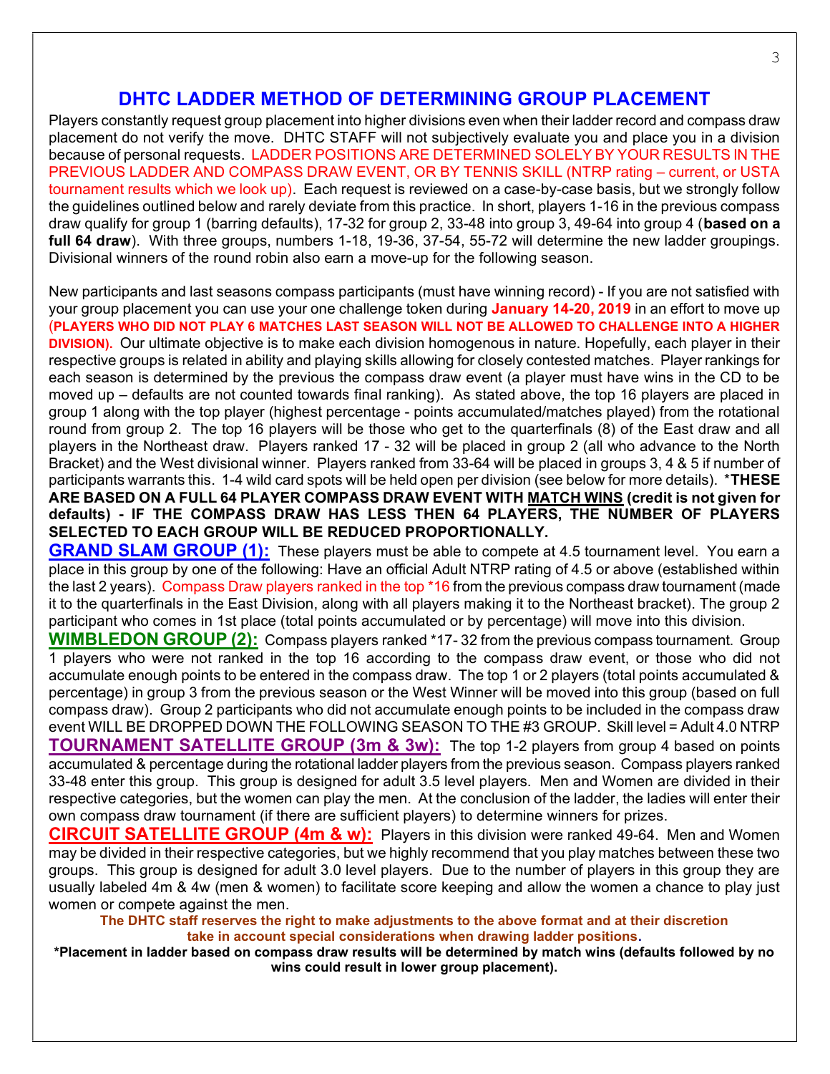## DHTC LADDER METHOD OF DETERMINING GROUP PLACEMENT

Players constantly request group placement into higher divisions even when their ladder record and compass draw placement do not verify the move. DHTC STAFF will not subjectively evaluate you and place you in a division because of personal requests. LADDER POSITIONS ARE DETERMINED SOLELY BY YOUR RESULTS IN THE PREVIOUS LADDER AND COMPASS DRAW EVENT, OR BY TENNIS SKILL (NTRP rating – current, or USTA tournament results which we look up). Each request is reviewed on a case-by-case basis, but we strongly follow the guidelines outlined below and rarely deviate from this practice. In short, players 1-16 in the previous compass draw qualify for group 1 (barring defaults), 17-32 for group 2, 33-48 into group 3, 49-64 into group 4 (based on a full 64 draw). With three groups, numbers 1-18, 19-36, 37-54, 55-72 will determine the new ladder groupings. Divisional winners of the round robin also earn a move-up for the following season.

New participants and last seasons compass participants (must have winning record) - If you are not satisfied with your group placement you can use your one challenge token during January 14-20, 2019 in an effort to move up (PLAYERS WHO DID NOT PLAY 6 MATCHES LAST SEASON WILL NOT BE ALLOWED TO CHALLENGE INTO A HIGHER DIVISION). Our ultimate objective is to make each division homogenous in nature. Hopefully, each player in their respective groups is related in ability and playing skills allowing for closely contested matches. Player rankings for each season is determined by the previous the compass draw event (a player must have wins in the CD to be moved up – defaults are not counted towards final ranking). As stated above, the top 16 players are placed in group 1 along with the top player (highest percentage - points accumulated/matches played) from the rotational round from group 2. The top 16 players will be those who get to the quarterfinals (8) of the East draw and all players in the Northeast draw. Players ranked 17 - 32 will be placed in group 2 (all who advance to the North Bracket) and the West divisional winner. Players ranked from 33-64 will be placed in groups 3, 4 & 5 if number of participants warrants this. 1-4 wild card spots will be held open per division (see below for more details). \*THESE ARE BASED ON A FULL 64 PLAYER COMPASS DRAW EVENT WITH MATCH WINS (credit is not given for defaults) - IF THE COMPASS DRAW HAS LESS THEN 64 PLAYERS, THE NUMBER OF PLAYERS SELECTED TO EACH GROUP WILL BE REDUCED PROPORTIONALLY.

**GRAND SLAM GROUP (1):** These players must be able to compete at 4.5 tournament level. You earn a place in this group by one of the following: Have an official Adult NTRP rating of 4.5 or above (established within the last 2 years). Compass Draw players ranked in the top \*16 from the previous compass draw tournament (made it to the quarterfinals in the East Division, along with all players making it to the Northeast bracket). The group 2 participant who comes in 1st place (total points accumulated or by percentage) will move into this division.

WIMBLEDON GROUP (2): Compass players ranked \*17-32 from the previous compass tournament. Group 1 players who were not ranked in the top 16 according to the compass draw event, or those who did not accumulate enough points to be entered in the compass draw. The top 1 or 2 players (total points accumulated & percentage) in group 3 from the previous season or the West Winner will be moved into this group (based on full compass draw). Group 2 participants who did not accumulate enough points to be included in the compass draw event WILL BE DROPPED DOWN THE FOLLOWING SEASON TO THE #3 GROUP. Skill level = Adult 4.0 NTRP **TOURNAMENT SATELLITE GROUP (3m & 3w):** The top 1-2 players from group 4 based on points accumulated & percentage during the rotational ladder players from the previous season. Compass players ranked 33-48 enter this group. This group is designed for adult 3.5 level players. Men and Women are divided in their respective categories, but the women can play the men. At the conclusion of the ladder, the ladies will enter their own compass draw tournament (if there are sufficient players) to determine winners for prizes.

CIRCUIT SATELLITE GROUP (4m & w): Players in this division were ranked 49-64. Men and Women may be divided in their respective categories, but we highly recommend that you play matches between these two groups. This group is designed for adult 3.0 level players. Due to the number of players in this group they are usually labeled 4m & 4w (men & women) to facilitate score keeping and allow the women a chance to play just women or compete against the men.

The DHTC staff reserves the right to make adjustments to the above format and at their discretion take in account special considerations when drawing ladder positions.

\*Placement in ladder based on compass draw results will be determined by match wins (defaults followed by no wins could result in lower group placement).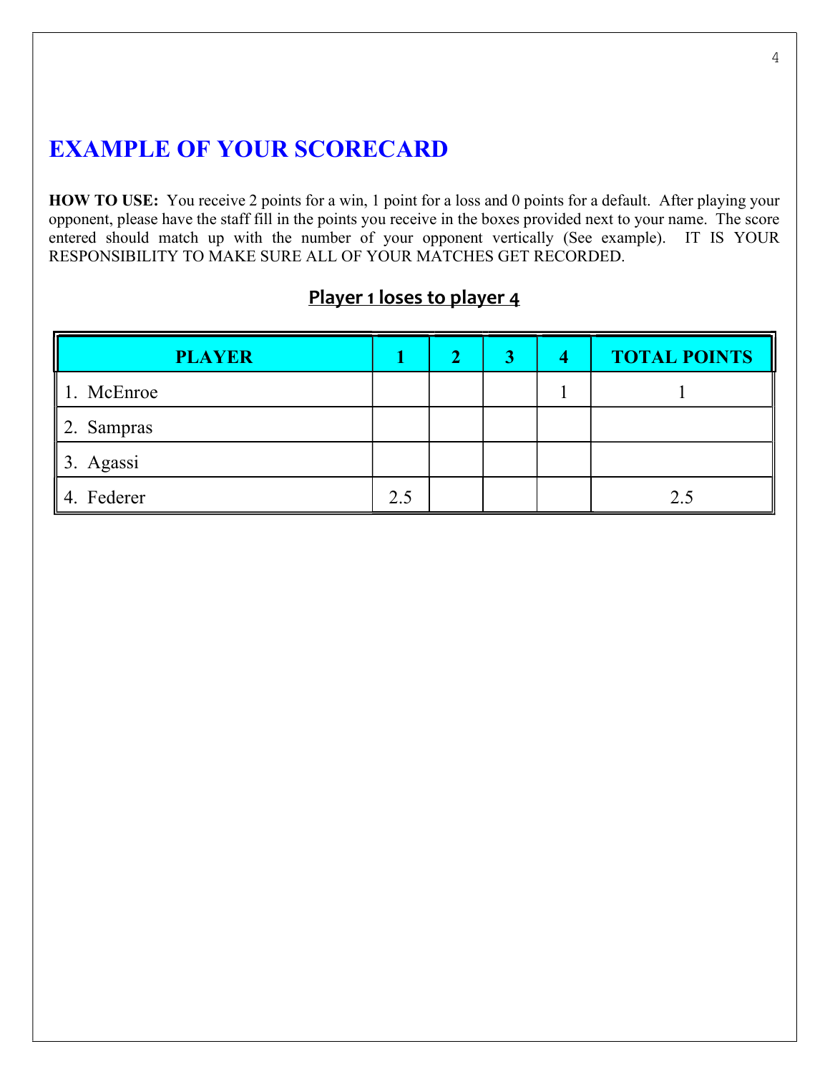# EXAMPLE OF YOUR SCORECARD

HOW TO USE: You receive 2 points for a win, 1 point for a loss and 0 points for a default. After playing your opponent, please have the staff fill in the points you receive in the boxes provided next to your name. The score entered should match up with the number of your opponent vertically (See example). IT IS YOUR RESPONSIBILITY TO MAKE SURE ALL OF YOUR MATCHES GET RECORDED.

## Player 1 loses to player 4

| <b>PLAYER</b>          |     | 2 | 4 | <b>TOTAL POINTS</b> |
|------------------------|-----|---|---|---------------------|
| $\parallel$ 1. McEnroe |     |   |   |                     |
| $\parallel$ 2. Sampras |     |   |   |                     |
| $\parallel$ 3. Agassi  |     |   |   |                     |
| 4. Federer             | 2.5 |   |   | 2.5                 |